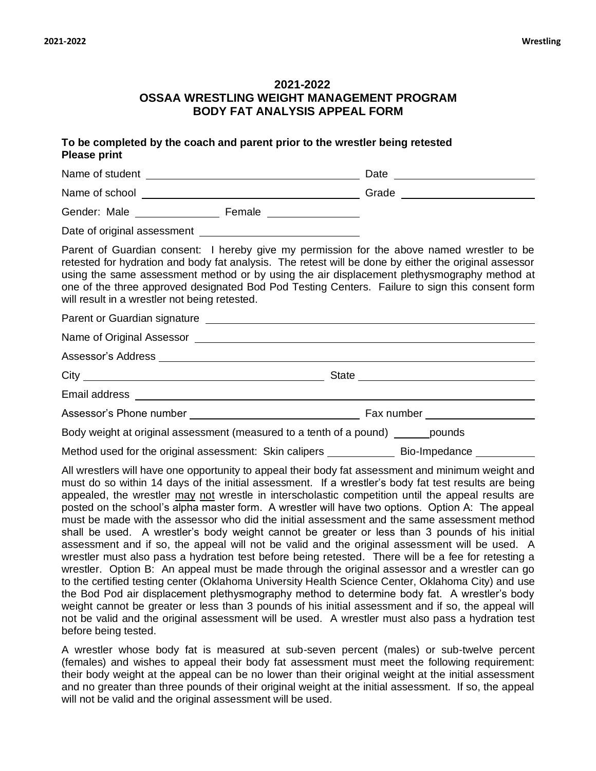before being tested.

## **2021-2022 OSSAA WRESTLING WEIGHT MANAGEMENT PROGRAM BODY FAT ANALYSIS APPEAL FORM**

| To be completed by the coach and parent prior to the wrestler being retested<br><b>Please print</b>                                                                                                                                                                                                                                                                                                                                                    |                                                                                                                                                                                                                                                                                                                                                                                                                                                                                                                                                                                                                                                                                                                                                                                                                                                                                                                                                                                                                                                                                                                                                                                                                                                                                                                                                     |  |  |  |  |  |  |
|--------------------------------------------------------------------------------------------------------------------------------------------------------------------------------------------------------------------------------------------------------------------------------------------------------------------------------------------------------------------------------------------------------------------------------------------------------|-----------------------------------------------------------------------------------------------------------------------------------------------------------------------------------------------------------------------------------------------------------------------------------------------------------------------------------------------------------------------------------------------------------------------------------------------------------------------------------------------------------------------------------------------------------------------------------------------------------------------------------------------------------------------------------------------------------------------------------------------------------------------------------------------------------------------------------------------------------------------------------------------------------------------------------------------------------------------------------------------------------------------------------------------------------------------------------------------------------------------------------------------------------------------------------------------------------------------------------------------------------------------------------------------------------------------------------------------------|--|--|--|--|--|--|
|                                                                                                                                                                                                                                                                                                                                                                                                                                                        |                                                                                                                                                                                                                                                                                                                                                                                                                                                                                                                                                                                                                                                                                                                                                                                                                                                                                                                                                                                                                                                                                                                                                                                                                                                                                                                                                     |  |  |  |  |  |  |
|                                                                                                                                                                                                                                                                                                                                                                                                                                                        |                                                                                                                                                                                                                                                                                                                                                                                                                                                                                                                                                                                                                                                                                                                                                                                                                                                                                                                                                                                                                                                                                                                                                                                                                                                                                                                                                     |  |  |  |  |  |  |
|                                                                                                                                                                                                                                                                                                                                                                                                                                                        |                                                                                                                                                                                                                                                                                                                                                                                                                                                                                                                                                                                                                                                                                                                                                                                                                                                                                                                                                                                                                                                                                                                                                                                                                                                                                                                                                     |  |  |  |  |  |  |
|                                                                                                                                                                                                                                                                                                                                                                                                                                                        |                                                                                                                                                                                                                                                                                                                                                                                                                                                                                                                                                                                                                                                                                                                                                                                                                                                                                                                                                                                                                                                                                                                                                                                                                                                                                                                                                     |  |  |  |  |  |  |
| Parent of Guardian consent: I hereby give my permission for the above named wrestler to be<br>retested for hydration and body fat analysis. The retest will be done by either the original assessor<br>using the same assessment method or by using the air displacement plethysmography method at<br>one of the three approved designated Bod Pod Testing Centers. Failure to sign this consent form<br>will result in a wrestler not being retested. |                                                                                                                                                                                                                                                                                                                                                                                                                                                                                                                                                                                                                                                                                                                                                                                                                                                                                                                                                                                                                                                                                                                                                                                                                                                                                                                                                     |  |  |  |  |  |  |
|                                                                                                                                                                                                                                                                                                                                                                                                                                                        |                                                                                                                                                                                                                                                                                                                                                                                                                                                                                                                                                                                                                                                                                                                                                                                                                                                                                                                                                                                                                                                                                                                                                                                                                                                                                                                                                     |  |  |  |  |  |  |
|                                                                                                                                                                                                                                                                                                                                                                                                                                                        |                                                                                                                                                                                                                                                                                                                                                                                                                                                                                                                                                                                                                                                                                                                                                                                                                                                                                                                                                                                                                                                                                                                                                                                                                                                                                                                                                     |  |  |  |  |  |  |
|                                                                                                                                                                                                                                                                                                                                                                                                                                                        |                                                                                                                                                                                                                                                                                                                                                                                                                                                                                                                                                                                                                                                                                                                                                                                                                                                                                                                                                                                                                                                                                                                                                                                                                                                                                                                                                     |  |  |  |  |  |  |
|                                                                                                                                                                                                                                                                                                                                                                                                                                                        |                                                                                                                                                                                                                                                                                                                                                                                                                                                                                                                                                                                                                                                                                                                                                                                                                                                                                                                                                                                                                                                                                                                                                                                                                                                                                                                                                     |  |  |  |  |  |  |
|                                                                                                                                                                                                                                                                                                                                                                                                                                                        |                                                                                                                                                                                                                                                                                                                                                                                                                                                                                                                                                                                                                                                                                                                                                                                                                                                                                                                                                                                                                                                                                                                                                                                                                                                                                                                                                     |  |  |  |  |  |  |
|                                                                                                                                                                                                                                                                                                                                                                                                                                                        |                                                                                                                                                                                                                                                                                                                                                                                                                                                                                                                                                                                                                                                                                                                                                                                                                                                                                                                                                                                                                                                                                                                                                                                                                                                                                                                                                     |  |  |  |  |  |  |
| Body weight at original assessment (measured to a tenth of a pound) _______pounds                                                                                                                                                                                                                                                                                                                                                                      |                                                                                                                                                                                                                                                                                                                                                                                                                                                                                                                                                                                                                                                                                                                                                                                                                                                                                                                                                                                                                                                                                                                                                                                                                                                                                                                                                     |  |  |  |  |  |  |
|                                                                                                                                                                                                                                                                                                                                                                                                                                                        | Method used for the original assessment: Skin calipers _______________ Bio-Impedance _________                                                                                                                                                                                                                                                                                                                                                                                                                                                                                                                                                                                                                                                                                                                                                                                                                                                                                                                                                                                                                                                                                                                                                                                                                                                      |  |  |  |  |  |  |
|                                                                                                                                                                                                                                                                                                                                                                                                                                                        | All wrestlers will have one opportunity to appeal their body fat assessment and minimum weight and<br>must do so within 14 days of the initial assessment. If a wrestler's body fat test results are being<br>appealed, the wrestler may not wrestle in interscholastic competition until the appeal results are<br>posted on the school's alpha master form. A wrestler will have two options. Option A: The appeal<br>must be made with the assessor who did the initial assessment and the same assessment method<br>shall be used. A wrestler's body weight cannot be greater or less than 3 pounds of his initial<br>assessment and if so, the appeal will not be valid and the original assessment will be used. A<br>wrestler must also pass a hydration test before being retested. There will be a fee for retesting a<br>wrestler. Option B: An appeal must be made through the original assessor and a wrestler can go<br>to the certified testing center (Oklahoma University Health Science Center, Oklahoma City) and use<br>the Bod Pod air displacement plethysmography method to determine body fat. A wrestler's body<br>weight cannot be greater or less than 3 pounds of his initial assessment and if so, the appeal will<br>not be valid and the original assessment will be used. A wrestler must also pass a hydration test |  |  |  |  |  |  |

A wrestler whose body fat is measured at sub-seven percent (males) or sub-twelve percent (females) and wishes to appeal their body fat assessment must meet the following requirement: their body weight at the appeal can be no lower than their original weight at the initial assessment and no greater than three pounds of their original weight at the initial assessment. If so, the appeal will not be valid and the original assessment will be used.